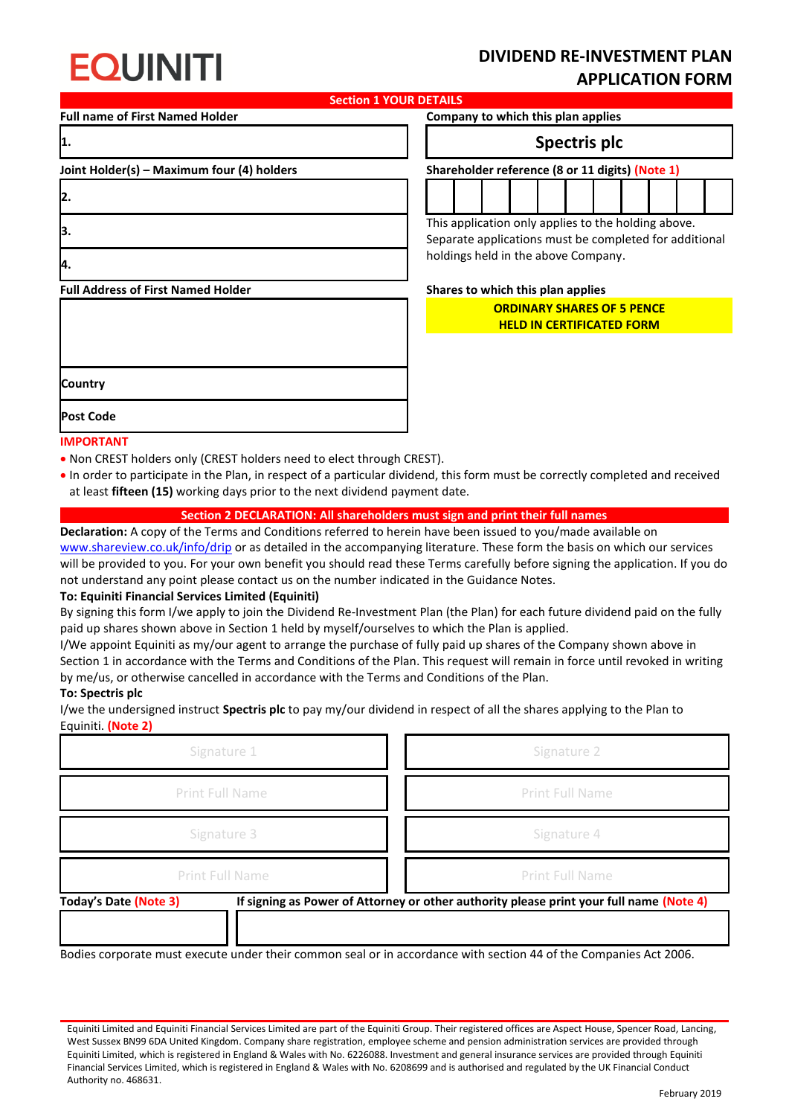# **FOUINITI**

## **DIVIDEND RE-INVESTMENT PLAN APPLICATION FORM**

**Section 1 YOUR DETAILS**

**2.**

**4.**

**Full name of First Named Holder Company to which this plan applies**

### **1. Spectris plc**

**Joint Holder(s) – Maximum four (4) holders Shareholder reference (8 or 11 digits) (Note 1)**



**3.** This application only applies to the holding above. Separate applications must be completed for additional holdings held in the above Company.

**Full Address of First Named Holder Shares to which this plan applies Country Post Code**

### **ORDINARY SHARES OF 5 PENCE HELD IN CERTIFICATED FORM**

**IMPORTANT**

- Non CREST holders only (CREST holders need to elect through CREST).
- In order to participate in the Plan, in respect of a particular dividend, this form must be correctly completed and received at least **fifteen (15)** working days prior to the next dividend payment date.

#### **Section 2 DECLARATION: All shareholders must sign and print their full names**

**Declaration:** A copy of the Terms and Conditions referred to herein have been issued to you/made available on [www.shareview.co.uk/info/drip](http://www.shareview.co.uk/info/drip) or as detailed in the accompanying literature. These form the basis on which our services will be provided to you. For your own benefit you should read these Terms carefully before signing the application. If you do not understand any point please contact us on the number indicated in the Guidance Notes.

#### **To: Equiniti Financial Services Limited (Equiniti)**

By signing this form I/we apply to join the Dividend Re-Investment Plan (the Plan) for each future dividend paid on the fully paid up shares shown above in Section 1 held by myself/ourselves to which the Plan is applied.

I/We appoint Equiniti as my/our agent to arrange the purchase of fully paid up shares of the Company shown above in Section 1 in accordance with the Terms and Conditions of the Plan. This request will remain in force until revoked in writing by me/us, or otherwise cancelled in accordance with the Terms and Conditions of the Plan.

#### **To: Spectris plc**

I/we the undersigned instruct **Spectris plc** to pay my/our dividend in respect of all the shares applying to the Plan to Equiniti. **(Note 2)**

| Signature 1                                                                                                             | Signature 2            |
|-------------------------------------------------------------------------------------------------------------------------|------------------------|
| <b>Print Full Name</b>                                                                                                  | <b>Print Full Name</b> |
| Signature 3                                                                                                             | Signature 4            |
| <b>Print Full Name</b>                                                                                                  | <b>Print Full Name</b> |
| If signing as Power of Attorney or other authority please print your full name (Note 4)<br><b>Today's Date (Note 3)</b> |                        |

Bodies corporate must execute under their common seal or in accordance with section 44 of the Companies Act 2006.

Equiniti Limited and Equiniti Financial Services Limited are part of the Equiniti Group. Their registered offices are Aspect House, Spencer Road, Lancing, West Sussex BN99 6DA United Kingdom. Company share registration, employee scheme and pension administration services are provided through Equiniti Limited, which is registered in England & Wales with No. 6226088. Investment and general insurance services are provided through Equiniti Financial Services Limited, which is registered in England & Wales with No. 6208699 and is authorised and regulated by the UK Financial Conduct Authority no. 468631.